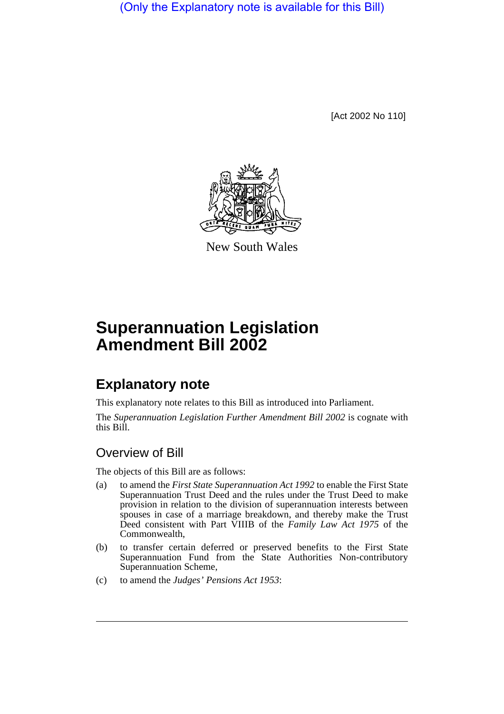(Only the Explanatory note is available for this Bill)

[Act 2002 No 110]



New South Wales

## **Superannuation Legislation Amendment Bill 2002**

## **Explanatory note**

This explanatory note relates to this Bill as introduced into Parliament.

The *Superannuation Legislation Further Amendment Bill 2002* is cognate with this Bill.

## Overview of Bill

The objects of this Bill are as follows:

- (a) to amend the *First State Superannuation Act 1992* to enable the First State Superannuation Trust Deed and the rules under the Trust Deed to make provision in relation to the division of superannuation interests between spouses in case of a marriage breakdown, and thereby make the Trust Deed consistent with Part VIIIB of the *Family Law Act 1975* of the Commonwealth,
- (b) to transfer certain deferred or preserved benefits to the First State Superannuation Fund from the State Authorities Non-contributory Superannuation Scheme,
- (c) to amend the *Judges' Pensions Act 1953*: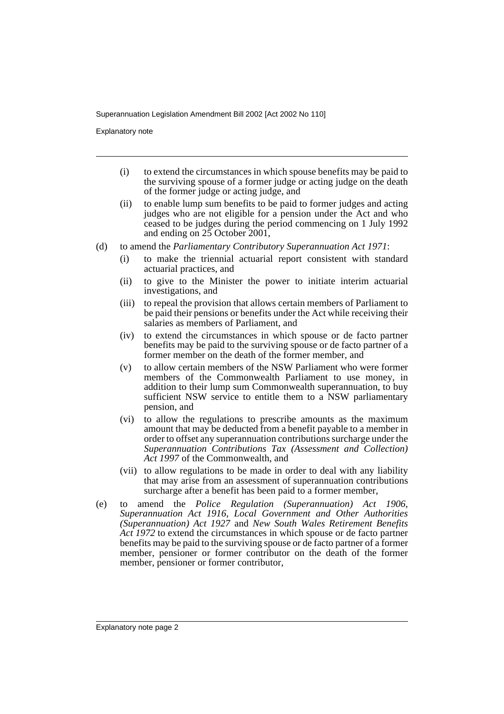Superannuation Legislation Amendment Bill 2002 [Act 2002 No 110]

Explanatory note

- (i) to extend the circumstances in which spouse benefits may be paid to the surviving spouse of a former judge or acting judge on the death of the former judge or acting judge, and
- (ii) to enable lump sum benefits to be paid to former judges and acting judges who are not eligible for a pension under the Act and who ceased to be judges during the period commencing on 1 July 1992 and ending on 25 October 2001,
- (d) to amend the *Parliamentary Contributory Superannuation Act 1971*:
	- (i) to make the triennial actuarial report consistent with standard actuarial practices, and
	- (ii) to give to the Minister the power to initiate interim actuarial investigations, and
	- (iii) to repeal the provision that allows certain members of Parliament to be paid their pensions or benefits under the Act while receiving their salaries as members of Parliament, and
	- (iv) to extend the circumstances in which spouse or de facto partner benefits may be paid to the surviving spouse or de facto partner of a former member on the death of the former member, and
	- (v) to allow certain members of the NSW Parliament who were former members of the Commonwealth Parliament to use money, in addition to their lump sum Commonwealth superannuation, to buy sufficient NSW service to entitle them to a NSW parliamentary pension, and
	- (vi) to allow the regulations to prescribe amounts as the maximum amount that may be deducted from a benefit payable to a member in order to offset any superannuation contributions surcharge under the *Superannuation Contributions Tax (Assessment and Collection) Act 1997* of the Commonwealth, and
	- (vii) to allow regulations to be made in order to deal with any liability that may arise from an assessment of superannuation contributions surcharge after a benefit has been paid to a former member,
- (e) to amend the *Police Regulation (Superannuation) Act 1906*, *Superannuation Act 1916*, *Local Government and Other Authorities (Superannuation) Act 1927* and *New South Wales Retirement Benefits Act 1972* to extend the circumstances in which spouse or de facto partner benefits may be paid to the surviving spouse or de facto partner of a former member, pensioner or former contributor on the death of the former member, pensioner or former contributor,